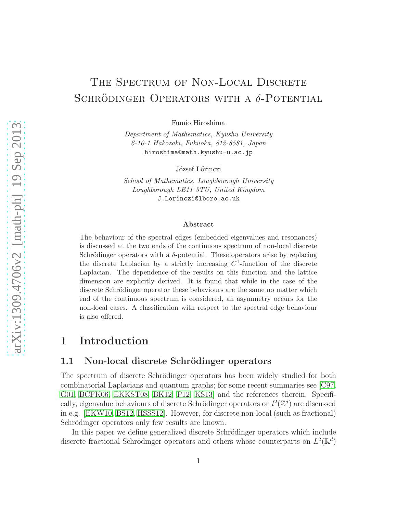# THE SPECTRUM OF NON-LOCAL DISCRETE SCHRÖDINGER OPERATORS WITH A  $\delta$ -POTENTIAL

Fumio Hiroshima

Department of Mathematics, Kyushu University 6-10-1 Hakozaki, Fukuoka, 812-8581, Japan hiroshima@math.kyushu-u.ac.jp

József Lőrinczi

School of Mathematics, Loughborough University Loughborough LE11 3TU, United Kingdom J.Lorinczi@lboro.ac.uk

#### Abstract

The behaviour of the spectral edges (embedded eigenvalues and resonances) is discussed at the two ends of the continuous spectrum of non-local discrete Schrödinger operators with a  $\delta$ -potential. These operators arise by replacing the discrete Laplacian by a strictly increasing  $C^1$ -function of the discrete Laplacian. The dependence of the results on this function and the lattice dimension are explicitly derived. It is found that while in the case of the discrete Schrödinger operator these behaviours are the same no matter which end of the continuous spectrum is considered, an asymmetry occurs for the non-local cases. A classification with respect to the spectral edge behaviour is also offered.

### 1 Introduction

#### 1.1 Non-local discrete Schrödinger operators

The spectrum of discrete Schrödinger operators has been widely studied for both combinatorial Laplacians and quantum graphs; for some recent summaries see [\[C97,](#page-11-0) [G01,](#page-11-1) [BCFK06,](#page-11-2) [EKKST08,](#page-11-3) [BK12,](#page-11-4) [P12,](#page-11-5) [KS13\]](#page-11-6) and the references therein. Specifically, eigenvalue behaviours of discrete Schrödinger operators on  $l^2(\mathbb{Z}^d)$  are discussed in e.g. [\[EKW10,](#page-11-7) [BS12,](#page-11-8) [HSSS12\]](#page-11-9). However, for discrete non-local (such as fractional) Schrödinger operators only few results are known.

In this paper we define generalized discrete Schrödinger operators which include discrete fractional Schrödinger operators and others whose counterparts on  $L^2(\mathbb{R}^d)$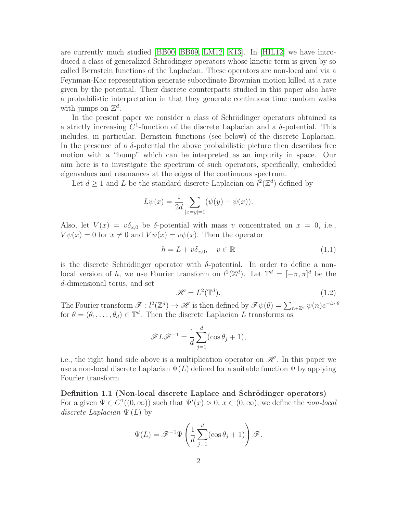are currently much studied [\[BB00,](#page-11-10) [BB09,](#page-11-11) [LM12,](#page-11-12) [K13\]](#page-11-13). In [\[HIL12\]](#page-11-14) we have introduced a class of generalized Schrödinger operators whose kinetic term is given by so called Bernstein functions of the Laplacian. These operators are non-local and via a Feynman-Kac representation generate subordinate Brownian motion killed at a rate given by the potential. Their discrete counterparts studied in this paper also have a probabilistic interpretation in that they generate continuous time random walks with jumps on  $\mathbb{Z}^d$ .

In the present paper we consider a class of Schrödinger operators obtained as a strictly increasing  $C^1$ -function of the discrete Laplacian and a  $\delta$ -potential. This includes, in particular, Bernstein functions (see below) of the discrete Laplacian. In the presence of a  $\delta$ -potential the above probabilistic picture then describes free motion with a "bump" which can be interpreted as an impurity in space. Our aim here is to investigate the spectrum of such operators, specifically, embedded eigenvalues and resonances at the edges of the continuous spectrum.

Let  $d \geq 1$  and L be the standard discrete Laplacian on  $l^2(\mathbb{Z}^d)$  defined by

$$
L\psi(x) = \frac{1}{2d} \sum_{|x=y|=1} (\psi(y) - \psi(x)).
$$

Also, let  $V(x) = v\delta_{x,0}$  be  $\delta$ -potential with mass v concentrated on  $x = 0$ , i.e.,  $V\psi(x) = 0$  for  $x \neq 0$  and  $V\psi(x) = v\psi(x)$ . Then the operator

$$
h = L + v\delta_{x,0}, \quad v \in \mathbb{R}
$$
\n
$$
(1.1)
$$

is the discrete Schrödinger operator with  $\delta$ -potential. In order to define a nonlocal version of h, we use Fourier transform on  $l^2(\mathbb{Z}^d)$ . Let  $\mathbb{T}^d = [-\pi, \pi]^d$  be the d-dimensional torus, and set

$$
\mathcal{H} = L^2(\mathbb{T}^d). \tag{1.2}
$$

The Fourier transform  $\mathscr{F}: l^2(\mathbb{Z}^d) \to \mathscr{H}$  is then defined by  $\mathscr{F}\psi(\theta) = \sum_{n \in \mathbb{Z}^d} \psi(n) e^{-in \cdot \theta}$ for  $\theta = (\theta_1, \ldots, \theta_d) \in \mathbb{T}^d$ . Then the discrete Laplacian L transforms as

$$
\mathscr{F} \mathcal{L} \mathcal{F}^{-1} = \frac{1}{d} \sum_{j=1}^{d} (\cos \theta_j + 1),
$$

i.e., the right hand side above is a multiplication operator on  $\mathcal{H}$ . In this paper we use a non-local discrete Laplacian  $\Psi(L)$  defined for a suitable function  $\Psi$  by applying Fourier transform.

Definition 1.1 (Non-local discrete Laplace and Schrödinger operators) For a given  $\Psi \in C^1((0,\infty))$  such that  $\Psi'(x) > 0$ ,  $x \in (0,\infty)$ , we define the non-local discrete Laplacian  $\Psi(L)$  by

$$
\Psi(L) = \mathscr{F}^{-1}\Psi\left(\frac{1}{d}\sum_{j=1}^{d}(\cos\theta_j + 1)\right)\mathscr{F}.
$$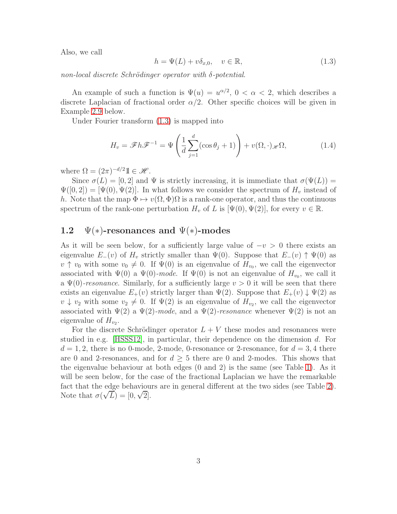Also, we call

<span id="page-2-0"></span>
$$
h = \Psi(L) + v\delta_{x,0}, \quad v \in \mathbb{R}, \tag{1.3}
$$

non-local discrete Schrödinger operator with  $\delta$ -potential.

An example of such a function is  $\Psi(u) = u^{\alpha/2}$ ,  $0 < \alpha < 2$ , which describes a discrete Laplacian of fractional order  $\alpha/2$ . Other specific choices will be given in Example [2.9](#page-7-0) below.

Under Fourier transform [\(1.3\)](#page-2-0) is mapped into

$$
H_v = \mathscr{F}h\mathscr{F}^{-1} = \Psi\left(\frac{1}{d}\sum_{j=1}^d(\cos\theta_j + 1)\right) + v(\Omega, \cdot)_{\mathscr{H}}\Omega,\tag{1.4}
$$

where  $\Omega = (2\pi)^{-d/2} \mathbb{1} \in \mathcal{H}$ .

Since  $\sigma(L) = [0, 2]$  and  $\Psi$  is strictly increasing, it is immediate that  $\sigma(\Psi(L)) =$  $\Psi([0,2]) = [\Psi(0), \Psi(2)]$ . In what follows we consider the spectrum of  $H_v$  instead of h. Note that the map  $\Phi \mapsto v(\Omega, \Phi)\Omega$  is a rank-one operator, and thus the continuous spectrum of the rank-one perturbation  $H_v$  of L is  $[\Psi(0), \Psi(2)]$ , for every  $v \in \mathbb{R}$ .

### 1.2  $\Psi(*)$ -resonances and  $\Psi(*)$ -modes

As it will be seen below, for a sufficiently large value of  $-v > 0$  there exists an eigenvalue  $E_-(v)$  of  $H_v$  strictly smaller than  $\Psi(0)$ . Suppose that  $E_-(v) \uparrow \Psi(0)$  as  $v \uparrow v_0$  with some  $v_0 \neq 0$ . If  $\Psi(0)$  is an eigenvalue of  $H_{v_0}$ , we call the eigenvector associated with  $\Psi(0)$  a  $\Psi(0)$ -mode. If  $\Psi(0)$  is not an eigenvalue of  $H_{v_0}$ , we call it a  $\Psi(0)$ -resonance. Similarly, for a sufficiently large  $v > 0$  it will be seen that there exists an eigenvalue  $E_+(v)$  strictly larger than  $\Psi(2)$ . Suppose that  $E_+(v) \downarrow \Psi(2)$  as  $v \downarrow v_2$  with some  $v_2 \neq 0$ . If  $\Psi(2)$  is an eigenvalue of  $H_{v_2}$ , we call the eigenvector associated with  $\Psi(2)$  a  $\Psi(2)$ -mode, and a  $\Psi(2)$ -resonance whenever  $\Psi(2)$  is not an eigenvalue of  $H_{v_2}$ .

For the discrete Schrödinger operator  $L + V$  these modes and resonances were studied in e.g. [\[HSSS12\]](#page-11-9), in particular, their dependence on the dimension d. For  $d = 1, 2$ , there is no 0-mode, 2-mode, 0-resonance or 2-resonance, for  $d = 3, 4$  there are 0 and 2-resonances, and for  $d \geq 5$  there are 0 and 2-modes. This shows that the eigenvalue behaviour at both edges (0 and 2) is the same (see Table [1\)](#page-3-0). As it will be seen below, for the case of the fractional Laplacian we have the remarkable fact that the edge behaviours are in general different at the two sides (see Table [2\)](#page-3-1). Note that  $\sigma(\sqrt{L}) = [0, \sqrt{2}].$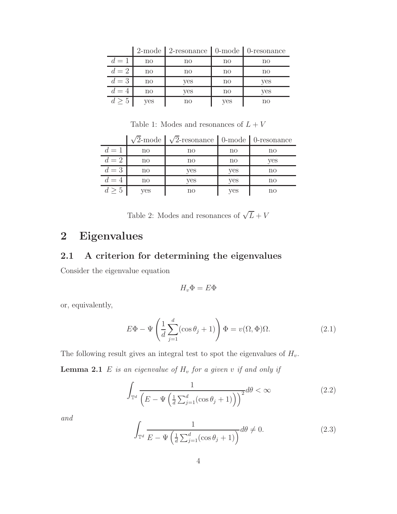|       |     | 2-mode   2-resonance   0-mode   0-resonance |              |              |
|-------|-----|---------------------------------------------|--------------|--------------|
| $d=1$ | no  | no                                          | no           | $\mathbf{n}$ |
| $d=2$ | no  | $\mathbf{n}\mathbf{o}$                      | $\mathbf{n}$ | $\mathbf{n}$ |
| $d=3$ | no  | yes                                         | no           | yes          |
| $d=4$ | no  | yes                                         | no           | yes          |
| d > 5 | yes | no                                          | yes          | $\mathbf{n}$ |

2-mode 2-resonance 0-mode 0-resonance

<span id="page-3-0"></span>Table 1: Modes and resonances of  ${\cal L}+V$ 

|       |                        | $\sqrt{2}$ -mode $\sqrt{2}$ -resonance 0-mode 0-resonance |              |              |
|-------|------------------------|-----------------------------------------------------------|--------------|--------------|
| $d=1$ | $\mathop{\mathrm{no}}$ | $\mathbf{n}$                                              | $\mathbf{n}$ | $\mathbf{n}$ |
| $d=2$ | $\mathop{\mathrm{no}}$ | $\mathbf{n}\mathbf{o}$                                    | $\mathbf{n}$ | yes          |
| $d=3$ | $\mathop{\mathrm{no}}$ | yes                                                       | yes          | $\mathbf{n}$ |
| $d=4$ | $\mathbf{n}\mathbf{o}$ | yes                                                       | yes          | no           |
| d > 5 | ves                    | no                                                        | <b>ves</b>   | no           |

<span id="page-3-1"></span>Table 2: Modes and resonances of  $\sqrt{L} + V$ 

# 2 Eigenvalues

### 2.1 A criterion for determining the eigenvalues

Consider the eigenvalue equation

<span id="page-3-4"></span>
$$
H_v\Phi=E\Phi
$$

or, equivalently,

$$
E\Phi - \Psi\left(\frac{1}{d}\sum_{j=1}^{d}(\cos\theta_j + 1)\right)\Phi = v(\Omega, \Phi)\Omega.
$$
 (2.1)

The following result gives an integral test to spot the eigenvalues of  $H_v$ .

**Lemma 2.1** E is an eigenvalue of  $H_v$  for a given v if and only if

<span id="page-3-2"></span>
$$
\int_{\mathbb{T}^d} \frac{1}{\left(E - \Psi\left(\frac{1}{d}\sum_{j=1}^d (\cos\theta_j + 1)\right)\right)^2} d\theta < \infty \tag{2.2}
$$

and

<span id="page-3-3"></span>
$$
\int_{\mathbb{T}^d} \frac{1}{E - \Psi\left(\frac{1}{d}\sum_{j=1}^d (\cos\theta_j + 1)\right)} d\theta \neq 0.
$$
\n(2.3)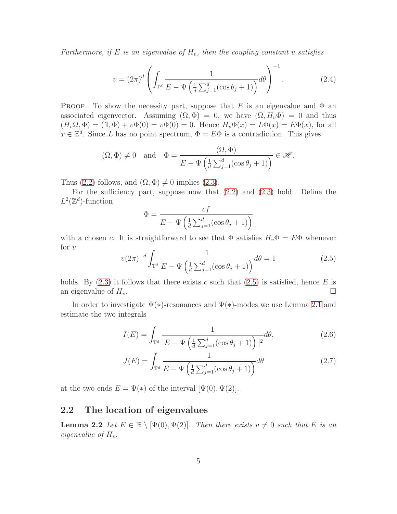Furthermore, if E is an eigenvalue of  $H_v$ , then the coupling constant v satisfies

<span id="page-4-1"></span>
$$
v = (2\pi)^d \left( \int_{\mathbb{T}^d} \frac{1}{E - \Psi\left(\frac{1}{d} \sum_{j=1}^d (\cos \theta_j + 1)\right)} d\theta \right)^{-1}.
$$
 (2.4)

**PROOF.** To show the necessity part, suppose that E is an eigenvalue and  $\Phi$  an associated eigenvector. Assuming  $(\Omega, \Phi) = 0$ , we have  $(\Omega, H_v \Phi) = 0$  and thus  $(H_v\Omega, \Phi) = (1, \Phi) + v\Phi(0) = v\Phi(0) = 0.$  Hence  $H_v\Phi(x) = L\Phi(x) = E\Phi(x)$ , for all  $x \in \mathbb{Z}^d$ . Since L has no point spectrum,  $\Phi = E\Phi$  is a contradiction. This gives

$$
(\Omega, \Phi) \neq 0
$$
 and  $\Phi = \frac{(\Omega, \Phi)}{E - \Psi \left(\frac{1}{d} \sum_{j=1}^{d} (\cos \theta_j + 1)\right)} \in \mathcal{H}.$ 

Thus [\(2.2\)](#page-3-2) follows, and  $(\Omega, \Phi) \neq 0$  implies [\(2.3\)](#page-3-3).

For the sufficiency part, suppose now that  $(2.2)$  and  $(2.3)$  hold. Define the  $L^2(\mathbb{Z}^d)$ -function

$$
\Phi = \frac{cf}{E - \Psi\left(\frac{1}{d}\sum_{j=1}^{d}(\cos\theta_j + 1)\right)}
$$

with a chosen c. It is straightforward to see that  $\Phi$  satisfies  $H_v\Phi = E\Phi$  whenever for  $v$ 

<span id="page-4-0"></span>
$$
v(2\pi)^{-d} \int_{\mathbb{T}^d} \frac{1}{E - \Psi\left(\frac{1}{d} \sum_{j=1}^d (\cos \theta_j + 1)\right)} d\theta = 1
$$
 (2.5)

holds. By  $(2.3)$  it follows that there exists c such that  $(2.5)$  is satisfied, hence E is an eigenvalue of  $H_v$ .

In order to investigate  $\Psi(*)$ -resonances and  $\Psi(*)$ -modes we use Lemma [2.1](#page-3-4) and estimate the two integrals

$$
I(E) = \int_{\mathbb{T}^d} \frac{1}{|E - \Psi\left(\frac{1}{d}\sum_{j=1}^d (\cos\theta_j + 1)\right)|^2} d\theta,\tag{2.6}
$$

$$
J(E) = \int_{\mathbb{T}^d} \frac{1}{E - \Psi\left(\frac{1}{d}\sum_{j=1}^d (\cos\theta_j + 1)\right)} d\theta \tag{2.7}
$$

at the two ends  $E = \Psi(*)$  of the interval  $[\Psi(0), \Psi(2)].$ 

#### 2.2 The location of eigenvalues

**Lemma 2.2** Let  $E \in \mathbb{R} \setminus [\Psi(0), \Psi(2)]$ . Then there exists  $v \neq 0$  such that E is an eigenvalue of  $H_v$ .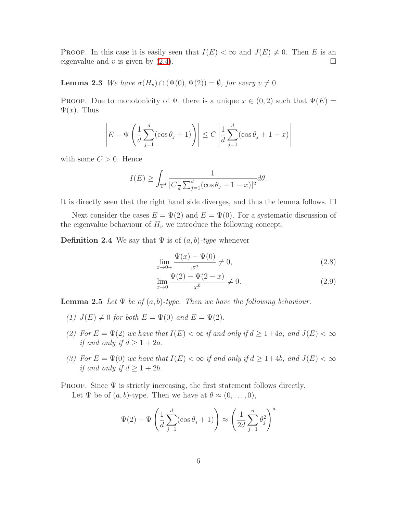PROOF. In this case it is easily seen that  $I(E) < \infty$  and  $J(E) \neq 0$ . Then E is an eigenvalue and v is given by (2.4). eigenvalue and  $v$  is given by  $(2.4)$ .

**Lemma 2.3** We have  $\sigma(H_v) \cap (\Psi(0), \Psi(2)) = \emptyset$ , for every  $v \neq 0$ .

PROOF. Due to monotonicity of  $\Psi$ , there is a unique  $x \in (0, 2)$  such that  $\Psi(E) =$  $\Psi(x)$ . Thus

$$
\left| E - \Psi \left( \frac{1}{d} \sum_{j=1}^d (\cos \theta_j + 1) \right) \right| \le C \left| \frac{1}{d} \sum_{j=1}^d (\cos \theta_j + 1 - x) \right|
$$

with some  $C > 0$ . Hence

$$
I(E) \ge \int_{\mathbb{T}^d} \frac{1}{|C\frac{1}{d}\sum_{j=1}^d (\cos\theta_j + 1 - x)|^2} d\theta.
$$

It is directly seen that the right hand side diverges, and thus the lemma follows.  $\Box$ 

Next consider the cases  $E = \Psi(2)$  and  $E = \Psi(0)$ . For a systematic discussion of the eigenvalue behaviour of  $H_v$  we introduce the following concept.

**Definition 2.4** We say that  $\Psi$  is of  $(a, b)$ -type whenever

$$
\lim_{x \to 0+} \frac{\Psi(x) - \Psi(0)}{x^a} \neq 0,
$$
\n(2.8)

$$
\lim_{x \to 0} \frac{\Psi(2) - \Psi(2 - x)}{x^b} \neq 0.
$$
\n(2.9)

**Lemma 2.5** Let  $\Psi$  be of  $(a, b)$ -type. Then we have the following behaviour.

- (1)  $J(E) \neq 0$  for both  $E = \Psi(0)$  and  $E = \Psi(2)$ .
- (2) For  $E = \Psi(2)$  we have that  $I(E) < \infty$  if and only if  $d \geq 1+4a$ , and  $J(E) < \infty$ if and only if  $d \geq 1 + 2a$ .
- (3) For  $E = \Psi(0)$  we have that  $I(E) < \infty$  if and only if  $d \geq 1+4b$ , and  $J(E) < \infty$ if and only if  $d \geq 1 + 2b$ .
- PROOF. Since  $\Psi$  is strictly increasing, the first statement follows directly. Let  $\Psi$  be of  $(a, b)$ -type. Then we have at  $\theta \approx (0, \ldots, 0),$

$$
\Psi(2) - \Psi\left(\frac{1}{d}\sum_{j=1}^{d}(\cos\theta_j + 1)\right) \approx \left(\frac{1}{2d}\sum_{j=1}^{n}\theta_j^2\right)^a
$$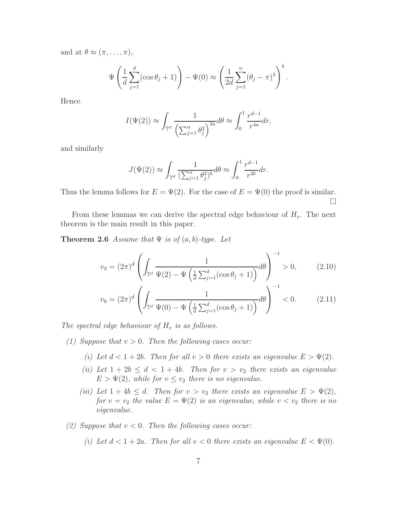and at  $\theta \approx (\pi, \ldots, \pi),$ 

$$
\Psi\left(\frac{1}{d}\sum_{j=1}^d(\cos\theta_j+1)\right)-\Psi(0)\approx\left(\frac{1}{2d}\sum_{j=1}^n(\theta_j-\pi)^2\right)^b.
$$

Hence

$$
I(\Psi(2)) \approx \int_{\mathbb{T}^d} \frac{1}{\left(\sum_{j=1}^n \theta_j^2\right)^{2a}} d\theta \approx \int_0^1 \frac{r^{d-1}}{r^{4a}} dr,
$$

and similarly

$$
J(\Psi(2)) \approx \int_{\mathbb{T}^d} \frac{1}{(\sum_{j=1}^n \theta_j^2)^b} d\theta \approx \int_0^1 \frac{r^{d-1}}{r^{2b}} dr.
$$

Thus the lemma follows for  $E = \Psi(2)$ . For the case of  $E = \Psi(0)$  the proof is similar.  $\Box$ 

From these lemmas we can derive the spectral edge behaviour of  $H_v$ . The next theorem is the main result in this paper.

**Theorem 2.6** Assume that  $\Psi$  is of  $(a, b)$ -type. Let

$$
v_2 = (2\pi)^d \left( \int_{\mathbb{T}^d} \frac{1}{\Psi(2) - \Psi\left(\frac{1}{d} \sum_{j=1}^d (\cos \theta_j + 1)\right)} d\theta \right)^{-1} > 0, \quad (2.10)
$$

$$
v_0 = (2\pi)^d \left( \int_{\mathbb{T}^d} \frac{1}{\Psi(0) - \Psi\left(\frac{1}{d} \sum_{j=1}^d (\cos \theta_j + 1)\right)} d\theta \right)^{-1} < 0. \tag{2.11}
$$

The spectral edge behaviour of  $H_v$  is as follows.

- (1) Suppose that  $v > 0$ . Then the following cases occur:
	- (i) Let  $d < 1 + 2b$ . Then for all  $v > 0$  there exists an eigenvalue  $E > \Psi(2)$ .
	- (ii) Let  $1 + 2b \leq d < 1 + 4b$ . Then for  $v > v_2$  there exists an eigenvalue  $E > \Psi(2)$ , while for  $v \leq v_2$  there is no eigenvalue.
	- (iii) Let  $1 + 4b \leq d$ . Then for  $v > v_2$  there exists an eigenvalue  $E > \Psi(2)$ , for  $v = v_2$  the value  $E = \Psi(2)$  is an eigenvalue, while  $v < v_2$  there is no eigenvalue.
- (2) Suppose that  $v < 0$ . Then the following cases occur:

(i) Let 
$$
d < 1 + 2a
$$
. Then for all  $v < 0$  there exists an eigenvalue  $E < \Psi(0)$ .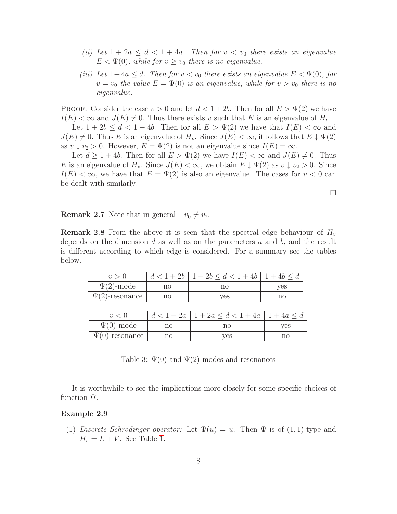- (ii) Let  $1 + 2a \leq d < 1 + 4a$ . Then for  $v < v_0$  there exists an eigenvalue  $E < \Psi(0)$ , while for  $v \ge v_0$  there is no eigenvalue.
- (iii) Let  $1+4a \leq d$ . Then for  $v < v_0$  there exists an eigenvalue  $E < \Psi(0)$ , for  $v = v_0$  the value  $E = \Psi(0)$  is an eigenvalue, while for  $v > v_0$  there is no eigenvalue.

**PROOF.** Consider the case  $v > 0$  and let  $d < 1+2b$ . Then for all  $E > \Psi(2)$  we have  $I(E) < \infty$  and  $J(E) \neq 0$ . Thus there exists v such that E is an eigenvalue of  $H_v$ .

Let  $1 + 2b \leq d < 1 + 4b$ . Then for all  $E > \Psi(2)$  we have that  $I(E) < \infty$  and  $J(E) \neq 0$ . Thus E is an eigenvalue of  $H_v$ . Since  $J(E) < \infty$ , it follows that  $E \downarrow \Psi(2)$ as  $v \downarrow v_2 > 0$ . However,  $E = \Psi(2)$  is not an eigenvalue since  $I(E) = \infty$ .

Let  $d \geq 1 + 4b$ . Then for all  $E > \Psi(2)$  we have  $I(E) < \infty$  and  $J(E) \neq 0$ . Thus E is an eigenvalue of  $H_v$ . Since  $J(E) < \infty$ , we obtain  $E \downarrow \Psi(2)$  as  $v \downarrow v_2 > 0$ . Since  $I(E) < \infty$ , we have that  $E = \Psi(2)$  is also an eigenvalue. The cases for  $v < 0$  can be dealt with similarly.

 $\Box$ 

**Remark 2.7** Note that in general  $-v_0 \neq v_2$ .

**Remark 2.8** From the above it is seen that the spectral edge behaviour of  $H_v$ depends on the dimension  $d$  as well as on the parameters  $a$  and  $b$ , and the result is different according to which edge is considered. For a summary see the tables below.

| v > 0                |                        | $d < 1 + 2b$ $1 + 2b \le d < 1 + 4b$ $1 + 4b \le d$     |     |
|----------------------|------------------------|---------------------------------------------------------|-----|
| $\Psi(2)$ -mode      | no                     | no                                                      | yes |
| $\Psi(2)$ -resonance | $\mathbf{n}$           | yes                                                     | no  |
|                      |                        |                                                         |     |
| v<0                  |                        | $d < 1 + 2a$   $1 + 2a \le d < 1 + 4a$   $1 + 4a \le d$ |     |
| $\Psi(0)$ -mode      | $\mathop{\mathrm{no}}$ | no                                                      | yes |
| $\Psi(0)$ -resonance | $\mathop{\mathrm{no}}$ | yes                                                     | no  |

<span id="page-7-0"></span>Table 3:  $\Psi(0)$  and  $\Psi(2)$ -modes and resonances

It is worthwhile to see the implications more closely for some specific choices of function  $\Psi$ .

#### Example 2.9

(1) Discrete Schrödinger operator: Let  $\Psi(u) = u$ . Then  $\Psi$  is of  $(1, 1)$ -type and  $H_v = L + V$ . See Table [1.](#page-3-0)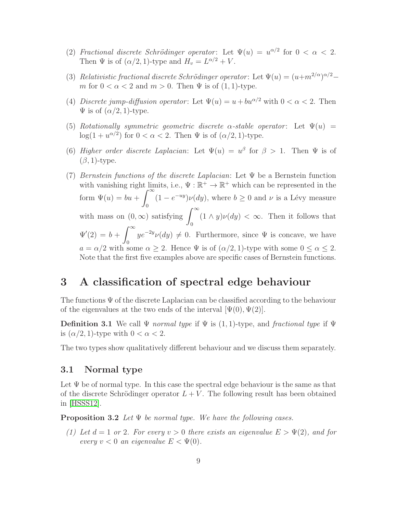- (2) Fractional discrete Schrödinger operator: Let  $\Psi(u) = u^{\alpha/2}$  for  $0 < \alpha < 2$ . Then  $\Psi$  is of  $(\alpha/2, 1)$ -type and  $H_v = L^{\alpha/2} + V$ .
- (3) Relativistic fractional discrete Schrödinger operator: Let  $\Psi(u) = (u+m^{2/\alpha})^{\alpha/2}$ m for  $0 < \alpha < 2$  and  $m > 0$ . Then  $\Psi$  is of  $(1, 1)$ -type.
- (4) Discrete jump-diffusion operator: Let  $\Psi(u) = u + bu^{\alpha/2}$  with  $0 < \alpha < 2$ . Then  $\Psi$  is of  $(\alpha/2, 1)$ -type.
- (5) Rotationally symmetric geometric discrete  $\alpha$ -stable operator: Let  $\Psi(u)$  =  $log(1 + u^{\alpha/2})$  for  $0 < \alpha < 2$ . Then  $\Psi$  is of  $(\alpha/2, 1)$ -type.
- (6) Higher order discrete Laplacian: Let  $\Psi(u) = u^{\beta}$  for  $\beta > 1$ . Then  $\Psi$  is of  $(\beta, 1)$ -type.
- (7) Bernstein functions of the discrete Laplacian: Let  $\Psi$  be a Bernstein function with vanishing right limits, i.e.,  $\Psi : \mathbb{R}^+ \to \mathbb{R}^+$  which can be represented in the form  $\Psi(u) = bu + \int_{-\infty}^{\infty}$  $(1 - e^{-uy})\nu(dy)$ , where  $b \ge 0$  and  $\nu$  is a Lévy measure with mass on  $(0, \infty)$  satisfying  $\int_0^\infty (1 \wedge y) \nu(dy) < \infty$ . Then it follows that  $\Psi'(2) = b + \int^{\infty}$  $\overline{0}$  $ye^{-2y}\nu(dy) \neq 0$ . Furthermore, since  $\Psi$  is concave, we have  $a = \alpha/2$  with some  $\alpha \geq 2$ . Hence  $\Psi$  is of  $(\alpha/2, 1)$ -type with some  $0 \leq \alpha \leq 2$ . Note that the first five examples above are specific cases of Bernstein functions.

### 3 A classification of spectral edge behaviour

The functions  $\Psi$  of the discrete Laplacian can be classified according to the behaviour of the eigenvalues at the two ends of the interval  $[\Psi(0), \Psi(2)]$ .

**Definition 3.1** We call  $\Psi$  normal type if  $\Psi$  is (1, 1)-type, and fractional type if  $\Psi$ is  $(\alpha/2, 1)$ -type with  $0 < \alpha < 2$ .

The two types show qualitatively different behaviour and we discuss them separately.

#### 3.1 Normal type

Let  $\Psi$  be of normal type. In this case the spectral edge behaviour is the same as that of the discrete Schrödinger operator  $L + V$ . The following result has been obtained in [\[HSSS12\]](#page-11-9).

**Proposition 3.2** Let  $\Psi$  be normal type. We have the following cases.

(1) Let  $d = 1$  or 2. For every  $v > 0$  there exists an eigenvalue  $E > \Psi(2)$ , and for every  $v < 0$  an eigenvalue  $E < \Psi(0)$ .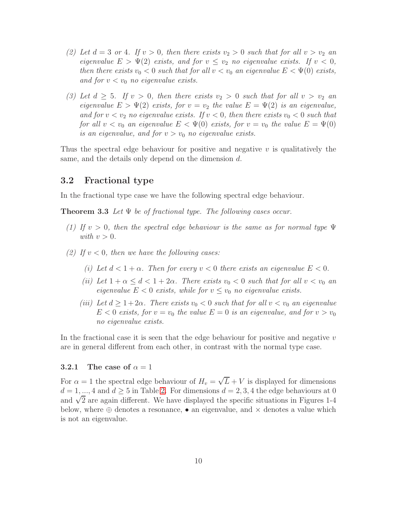- (2) Let  $d = 3$  or 4. If  $v > 0$ , then there exists  $v_2 > 0$  such that for all  $v > v_2$  an eigenvalue  $E > \Psi(2)$  exists, and for  $v \leq v_2$  no eigenvalue exists. If  $v < 0$ , then there exists  $v_0 < 0$  such that for all  $v < v_0$  an eigenvalue  $E < \Psi(0)$  exists, and for  $v < v_0$  no eigenvalue exists.
- (3) Let  $d \geq 5$ . If  $v > 0$ , then there exists  $v_2 > 0$  such that for all  $v > v_2$  and eigenvalue  $E > \Psi(2)$  exists, for  $v = v_2$  the value  $E = \Psi(2)$  is an eigenvalue, and for  $v < v_2$  no eigenvalue exists. If  $v < 0$ , then there exists  $v_0 < 0$  such that for all  $v < v_0$  an eigenvalue  $E < \Psi(0)$  exists, for  $v = v_0$  the value  $E = \Psi(0)$ is an eigenvalue, and for  $v > v_0$  no eigenvalue exists.

Thus the spectral edge behaviour for positive and negative  $v$  is qualitatively the same, and the details only depend on the dimension d.

#### 3.2 Fractional type

In the fractional type case we have the following spectral edge behaviour.

**Theorem 3.3** Let  $\Psi$  be of fractional type. The following cases occur.

- (1) If  $v > 0$ , then the spectral edge behaviour is the same as for normal type  $\Psi$ with  $v > 0$ .
- (2) If  $v < 0$ , then we have the following cases:
	- (i) Let  $d < 1 + \alpha$ . Then for every  $v < 0$  there exists an eigenvalue  $E < 0$ .
	- (ii) Let  $1 + \alpha \leq d < 1 + 2\alpha$ . There exists  $v_0 < 0$  such that for all  $v < v_0$  an eigenvalue  $E < 0$  exists, while for  $v \le v_0$  no eigenvalue exists.
	- (iii) Let  $d \geq 1+2\alpha$ . There exists  $v_0 < 0$  such that for all  $v < v_0$  an eigenvalue  $E < 0$  exists, for  $v = v_0$  the value  $E = 0$  is an eigenvalue, and for  $v > v_0$ no eigenvalue exists.

In the fractional case it is seen that the edge behaviour for positive and negative  $v$ are in general different from each other, in contrast with the normal type case.

#### 3.2.1 The case of  $\alpha = 1$

For  $\alpha = 1$  the spectral edge behaviour of  $H_v = \sqrt{L} + V$  is displayed for dimensions  $d = 1, ..., 4$  and  $d \geq 5$  in Table [2.](#page-3-1) For dimensions  $d = 2, 3, 4$  the edge behaviours at 0 and  $\sqrt{2}$  are again different. We have displayed the specific situations in Figures 1-4 below, where  $\oplus$  denotes a resonance, • an eigenvalue, and  $\times$  denotes a value which is not an eigenvalue.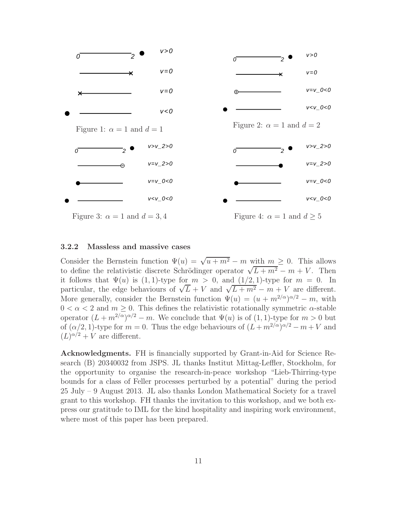

#### 3.2.2 Massless and massive cases

Consider the Bernstein function  $\Psi(u) = \sqrt{u + m^2} - m$  with  $m \geq 0$ . This allows to define the relativistic discrete Schrödinger operator  $\sqrt{L+m^2} - m + V$ . Then it follows that  $\Psi(u)$  is (1, 1)-type for  $m > 0$ , and (1/2, 1)-type for  $m = 0$ . In particular, the edge behaviours of  $\sqrt{L} + V$  and  $\sqrt{L+m^2} - m + V$  are different. More generally, consider the Bernstein function  $\Psi(u) = (u + m^{2/\alpha})^{\alpha/2} - m$ , with  $0 < \alpha < 2$  and  $m \geq 0$ . This defines the relativistic rotationally symmetric  $\alpha$ -stable operator  $(L+m^{2/\alpha})^{\alpha/2}-m$ . We conclude that  $\Psi(u)$  is of  $(1,1)$ -type for  $m>0$  but of  $(\alpha/2, 1)$ -type for  $m = 0$ . Thus the edge behaviours of  $(L + m^{2/\alpha})^{\alpha/2} - m + V$  and  $(L)^{\alpha/2} + V$  are different.

Acknowledgments. FH is financially supported by Grant-in-Aid for Science Research (B) 20340032 from JSPS. JL thanks Institut Mittag-Leffler, Stockholm, for the opportunity to organise the research-in-peace workshop "Lieb-Thirring-type bounds for a class of Feller processes perturbed by a potential" during the period 25 July – 9 August 2013. JL also thanks London Mathematical Society for a travel grant to this workshop. FH thanks the invitation to this workshop, and we both express our gratitude to IML for the kind hospitality and inspiring work environment, where most of this paper has been prepared.